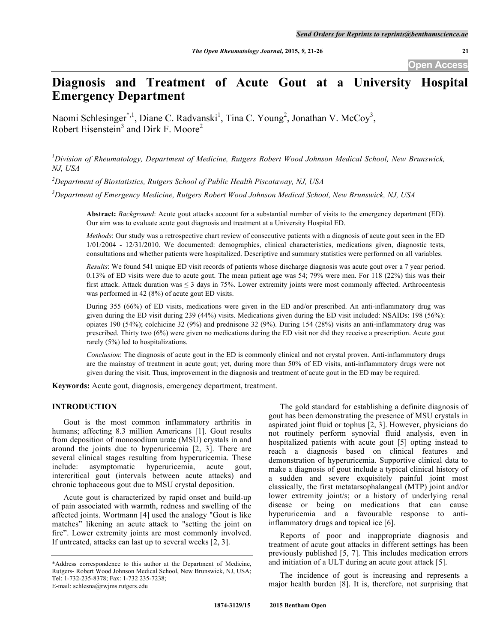# **Diagnosis and Treatment of Acute Gout at a University Hospital Emergency Department**

Naomi Schlesinger<sup>\*,1</sup>, Diane C. Radvanski<sup>1</sup>, Tina C. Young<sup>2</sup>, Jonathan V. McCoy<sup>3</sup>, Robert Eisenstein<sup>3</sup> and Dirk F. Moore<sup>2</sup>

*1 Division of Rheumatology, Department of Medicine, Rutgers Robert Wood Johnson Medical School, New Brunswick, NJ, USA*

*2 Department of Biostatistics, Rutgers School of Public Health Piscataway, NJ, USA*

*3 Department of Emergency Medicine, Rutgers Robert Wood Johnson Medical School, New Brunswick, NJ, USA*

**Abstract:** *Background*: Acute gout attacks account for a substantial number of visits to the emergency department (ED). Our aim was to evaluate acute gout diagnosis and treatment at a University Hospital ED.

*Methods*: Our study was a retrospective chart review of consecutive patients with a diagnosis of acute gout seen in the ED 1/01/2004 - 12/31/2010. We documented: demographics, clinical characteristics, medications given, diagnostic tests, consultations and whether patients were hospitalized. Descriptive and summary statistics were performed on all variables.

*Results*: We found 541 unique ED visit records of patients whose discharge diagnosis was acute gout over a 7 year period. 0.13% of ED visits were due to acute gout. The mean patient age was 54; 79% were men. For 118 (22%) this was their first attack. Attack duration was  $\leq 3$  days in 75%. Lower extremity joints were most commonly affected. Arthrocentesis was performed in 42 (8%) of acute gout ED visits.

During 355 (66%) of ED visits, medications were given in the ED and/or prescribed. An anti-inflammatory drug was given during the ED visit during 239 (44%) visits. Medications given during the ED visit included: NSAIDs: 198 (56%): opiates 190 (54%); colchicine 32 (9%) and prednisone 32 (9%). During 154 (28%) visits an anti-inflammatory drug was prescribed. Thirty two (6%) were given no medications during the ED visit nor did they receive a prescription. Acute gout rarely (5%) led to hospitalizations.

*Conclusion*: The diagnosis of acute gout in the ED is commonly clinical and not crystal proven. Anti-inflammatory drugs are the mainstay of treatment in acute gout; yet, during more than 50% of ED visits, anti-inflammatory drugs were not given during the visit. Thus, improvement in the diagnosis and treatment of acute gout in the ED may be required.

**Keywords:** Acute gout, diagnosis, emergency department, treatment.

## **INTRODUCTION**

Gout is the most common inflammatory arthritis in humans; affecting 8.3 million Americans [1]. Gout results from deposition of monosodium urate (MSU) crystals in and around the joints due to hyperuricemia [2, 3]. There are several clinical stages resulting from hyperuricemia. These include: asymptomatic hyperuricemia, acute gout, intercritical gout (intervals between acute attacks) and chronic tophaceous gout due to MSU crystal deposition.

Acute gout is characterized by rapid onset and build-up of pain associated with warmth, redness and swelling of the affected joints. Wortmann [4] used the analogy "Gout is like matches" likening an acute attack to "setting the joint on fire". Lower extremity joints are most commonly involved. If untreated, attacks can last up to several weeks [2, 3].

The gold standard for establishing a definite diagnosis of gout has been demonstrating the presence of MSU crystals in aspirated joint fluid or tophus [2, 3]. However, physicians do not routinely perform synovial fluid analysis, even in hospitalized patients with acute gout [5] opting instead to reach a diagnosis based on clinical features and demonstration of hyperuricemia. Supportive clinical data to make a diagnosis of gout include a typical clinical history of a sudden and severe exquisitely painful joint most classically, the first metatarsophalangeal (MTP) joint and/or lower extremity joint/s; or a history of underlying renal disease or being on medications that can cause hyperuricemia and a favourable response to antiinflammatory drugs and topical ice [6].

Reports of poor and inappropriate diagnosis and treatment of acute gout attacks in different settings has been previously published [5, 7]. This includes medication errors and initiation of a ULT during an acute gout attack [5].

The incidence of gout is increasing and represents a major health burden [8]. It is, therefore, not surprising that

<sup>\*</sup>Address correspondence to this author at the Department of Medicine, Rutgers- Robert Wood Johnson Medical School, New Brunswick, NJ, USA; Tel: 1-732-235-8378; Fax: 1-732 235-7238; E-mail: schlesna@rwjms.rutgers.edu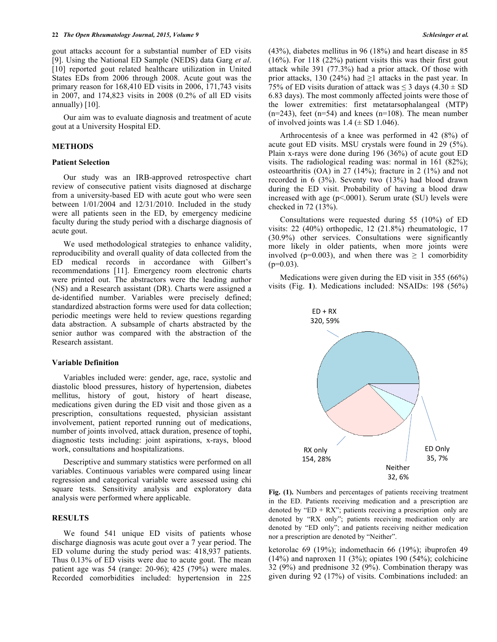gout attacks account for a substantial number of ED visits [9]. Using the National ED Sample (NEDS) data Garg *et al*. [10] reported gout related healthcare utilization in United States EDs from 2006 through 2008. Acute gout was the primary reason for 168,410 ED visits in 2006, 171,743 visits in 2007, and 174,823 visits in 2008 (0.2% of all ED visits annually) [10].

Our aim was to evaluate diagnosis and treatment of acute gout at a University Hospital ED.

## **METHODS**

#### **Patient Selection**

Our study was an IRB-approved retrospective chart review of consecutive patient visits diagnosed at discharge from a university-based ED with acute gout who were seen between 1/01/2004 and 12/31/2010. Included in the study were all patients seen in the ED, by emergency medicine faculty during the study period with a discharge diagnosis of acute gout.

We used methodological strategies to enhance validity, reproducibility and overall quality of data collected from the ED medical records in accordance with Gilbert's recommendations [11]. Emergency room electronic charts were printed out. The abstractors were the leading author (NS) and a Research assistant (DR). Charts were assigned a de-identified number. Variables were precisely defined; standardized abstraction forms were used for data collection; periodic meetings were held to review questions regarding data abstraction. A subsample of charts abstracted by the senior author was compared with the abstraction of the Research assistant.

#### **Variable Definition**

Variables included were: gender, age, race, systolic and diastolic blood pressures, history of hypertension, diabetes mellitus, history of gout, history of heart disease, medications given during the ED visit and those given as a prescription, consultations requested, physician assistant involvement, patient reported running out of medications, number of joints involved, attack duration, presence of tophi, diagnostic tests including: joint aspirations, x-rays, blood work, consultations and hospitalizations.

Descriptive and summary statistics were performed on all variables. Continuous variables were compared using linear regression and categorical variable were assessed using chi square tests. Sensitivity analysis and exploratory data analysis were performed where applicable.

#### **RESULTS**

We found 541 unique ED visits of patients whose discharge diagnosis was acute gout over a 7 year period. The ED volume during the study period was: 418,937 patients. Thus 0.13% of ED visits were due to acute gout. The mean patient age was 54 (range: 20-96); 425 (79%) were males. Recorded comorbidities included: hypertension in 225 (43%), diabetes mellitus in 96 (18%) and heart disease in 85 (16%). For 118 (22%) patient visits this was their first gout attack while 391 (77.3%) had a prior attack. Of those with prior attacks, 130 (24%) had  $\geq$ 1 attacks in the past year. In 75% of ED visits duration of attack was  $\leq$  3 days (4.30  $\pm$  SD 6.83 days). The most commonly affected joints were those of the lower extremities: first metatarsophalangeal (MTP)  $(n=243)$ , feet  $(n=54)$  and knees  $(n=108)$ . The mean number of involved joints was  $1.4 \ (\pm \ SD \ 1.046)$ .

Arthrocentesis of a knee was performed in 42 (8%) of acute gout ED visits. MSU crystals were found in 29 (5%). Plain x-rays were done during 196 (36%) of acute gout ED visits. The radiological reading was: normal in 161 (82%); osteoarthritis (OA) in 27 (14%); fracture in 2 (1%) and not recorded in 6 (3%). Seventy two (13%) had blood drawn during the ED visit. Probability of having a blood draw increased with age  $(p<.0001)$ . Serum urate (SU) levels were checked in 72 (13%).

Consultations were requested during 55 (10%) of ED visits: 22 (40%) orthopedic, 12 (21.8%) rheumatologic, 17 (30.9%) other services. Consultations were significantly more likely in older patients, when more joints were involved (p=0.003), and when there was  $\geq 1$  comorbidity  $(p=0.03)$ .

Medications were given during the ED visit in 355 (66%) visits (Fig. **1**). Medications included: NSAIDs: 198 (56%)



**Fig. (1).** Numbers and percentages of patients receiving treatment in the ED. Patients receiving medication and a prescription are denoted by "ED + RX"; patients receiving a prescription only are denoted by "RX only"; patients receiving medication only are denoted by "ED only"; and patients receiving neither medication nor a prescription are denoted by "Neither".

ketorolac 69 (19%); indomethacin 66 (19%); ibuprofen 49  $(14%)$  and naproxen 11 (3%); opiates 190 (54%); colchicine 32 (9%) and prednisone 32 (9%). Combination therapy was given during 92 (17%) of visits. Combinations included: an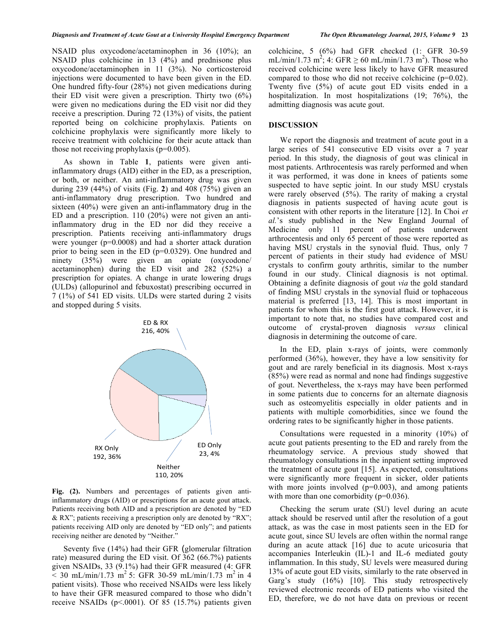NSAID plus oxycodone/acetaminophen in 36 (10%); an NSAID plus colchicine in 13 (4%) and prednisone plus oxycodone/acetaminophen in 11 (3%). No corticosteroid injections were documented to have been given in the ED. One hundred fifty-four (28%) not given medications during their ED visit were given a prescription. Thirty two (6%) were given no medications during the ED visit nor did they receive a prescription. During 72 (13%) of visits, the patient reported being on colchicine prophylaxis. Patients on colchicine prophylaxis were significantly more likely to receive treatment with colchicine for their acute attack than those not receiving prophylaxis (p=0.005).

As shown in Table **1**, patients were given antiinflammatory drugs (AID) either in the ED, as a prescription, or both, or neither. An anti-inflammatory drug was given during 239 (44%) of visits (Fig. **2**) and 408 (75%) given an anti-inflammatory drug prescription. Two hundred and sixteen (40%) were given an anti-inflammatory drug in the ED and a prescription. 110 (20%) were not given an antiinflammatory drug in the ED nor did they receive a prescription. Patients receiving anti-inflammatory drugs were younger (p=0.0008) and had a shorter attack duration prior to being seen in the ED (p=0.0329). One hundred and ninety (35%) were given an opiate (oxycodone/ acetaminophen) during the ED visit and 282 (52%) a prescription for opiates. A change in urate lowering drugs (ULDs) (allopurinol and febuxostat) prescribing occurred in 7 (1%) of 541 ED visits. ULDs were started during 2 visits and stopped during 5 visits.



**Fig. (2).** Numbers and percentages of patients given antiinflammatory drugs (AID) or prescriptions for an acute gout attack. Patients receiving both AID and a prescription are denoted by "ED & RX"; patients receiving a prescription only are denoted by "RX"; patients receiving AID only are denoted by "ED only"; and patients receiving neither are denoted by "Neither."

Seventy five (14%) had their GFR (glomerular filtration rate) measured during the ED visit. Of 362 (66.7%) patients given NSAIDs, 33 (9.1%) had their GFR measured (4: GFR  $< 30 \text{ mL/min}/1.73 \text{ m}^2$  5: GFR 30-59 mL/min/1.73 m<sup>2</sup> in 4 patient visits). Those who received NSAIDs were less likely to have their GFR measured compared to those who didn't receive NSAIDs (p<.0001). Of 85 (15.7%) patients given

colchicine, 5 (6%) had GFR checked (1: GFR 30-59 mL/min/1.73 m<sup>2</sup>; 4: GFR  $\geq 60$  mL/min/1.73 m<sup>2</sup>). Those who received colchicine were less likely to have GFR measured compared to those who did not receive colchicine (p=0.02). Twenty five (5%) of acute gout ED visits ended in a hospitalization. In most hospitalizations (19; 76%), the admitting diagnosis was acute gout.

#### **DISCUSSION**

We report the diagnosis and treatment of acute gout in a large series of 541 consecutive ED visits over a 7 year period. In this study, the diagnosis of gout was clinical in most patients. Arthrocentesis was rarely performed and when it was performed, it was done in knees of patients some suspected to have septic joint. In our study MSU crystals were rarely observed (5%). The rarity of making a crystal diagnosis in patients suspected of having acute gout is consistent with other reports in the literature [12]. In Choi *et al.*'s study published in the New England Journal of Medicine only 11 percent of patients underwent arthrocentesis and only 65 percent of those were reported as having MSU crystals in the synovial fluid. Thus, only 7 percent of patients in their study had evidence of MSU crystals to confirm gouty arthritis, similar to the number found in our study. Clinical diagnosis is not optimal. Obtaining a definite diagnosis of gout *via* the gold standard of finding MSU crystals in the synovial fluid or tophaceous material is preferred [13, 14]. This is most important in patients for whom this is the first gout attack. However, it is important to note that, no studies have compared cost and outcome of crystal-proven diagnosis *versus* clinical diagnosis in determining the outcome of care.

In the ED, plain x-rays of joints, were commonly performed (36%), however, they have a low sensitivity for gout and are rarely beneficial in its diagnosis. Most x-rays (85%) were read as normal and none had findings suggestive of gout. Nevertheless, the x-rays may have been performed in some patients due to concerns for an alternate diagnosis such as osteomyelitis especially in older patients and in patients with multiple comorbidities, since we found the ordering rates to be significantly higher in those patients.

Consultations were requested in a minority (10%) of acute gout patients presenting to the ED and rarely from the rheumatology service. A previous study showed that rheumatology consultations in the inpatient setting improved the treatment of acute gout [15]. As expected, consultations were significantly more frequent in sicker, older patients with more joints involved  $(p=0.003)$ , and among patients with more than one comorbidity (p=0.036).

Checking the serum urate (SU) level during an acute attack should be reserved until after the resolution of a gout attack, as was the case in most patients seen in the ED for acute gout, since SU levels are often within the normal range during an acute attack [16] due to acute uricosuria that accompanies Interleukin (IL)-1 and IL-6 mediated gouty inflammation. In this study, SU levels were measured during 13% of acute gout ED visits, similarly to the rate observed in Garg's study (16%) [10]. This study retrospectively reviewed electronic records of ED patients who visited the ED, therefore, we do not have data on previous or recent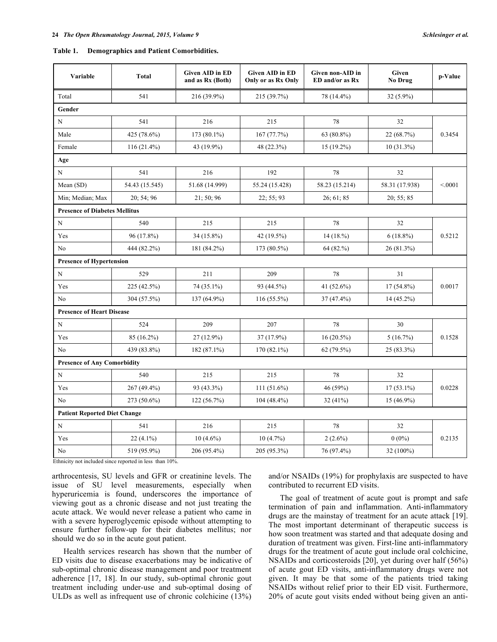| Schlesinger et al. |  |  |  |  |  |
|--------------------|--|--|--|--|--|
|--------------------|--|--|--|--|--|

| Table 1. | <b>Demographics and Patient Comorbidities.</b> |  |
|----------|------------------------------------------------|--|
|          |                                                |  |

| Variable                             | <b>Total</b>                        | <b>Given AID in ED</b><br>and as Rx (Both) | <b>Given AID in ED</b><br>Only or as Rx Only | Given non-AID in<br>ED and/or as Rx | Given<br>No Drug | p-Value |  |  |  |
|--------------------------------------|-------------------------------------|--------------------------------------------|----------------------------------------------|-------------------------------------|------------------|---------|--|--|--|
| Total                                | 541                                 | 216 (39.9%)                                | 215 (39.7%)                                  | 78 (14.4%)                          | $32(5.9\%)$      |         |  |  |  |
| Gender                               |                                     |                                            |                                              |                                     |                  |         |  |  |  |
| $\mathbf N$                          | 541                                 | 216                                        | 215                                          | 78                                  | 32               | 0.3454  |  |  |  |
| Male                                 | 425 (78.6%)                         | 173 (80.1%)                                | 167 (77.7%)                                  | 63 (80.8%)                          | 22 (68.7%)       |         |  |  |  |
| Female                               | $116(21.4\%)$                       | 43 (19.9%)                                 | 48 (22.3%)                                   | $15(19.2\%)$                        | $10(31.3\%)$     |         |  |  |  |
| Age                                  |                                     |                                            |                                              |                                     |                  |         |  |  |  |
| N                                    | 541                                 | 216                                        | 192                                          | 78                                  | 32               |         |  |  |  |
| Mean (SD)                            | 54.43 (15.545)                      | 51.68 (14.999)                             | 55.24 (15.428)                               | 58.23 (15.214)                      | 58.31 (17.938)   | < 0.001 |  |  |  |
| Min; Median; Max                     | 20:54:96                            | 21; 50; 96                                 | 22; 55; 93                                   | 26; 61; 85                          | 20; 55; 85       |         |  |  |  |
| <b>Presence of Diabetes Mellitus</b> |                                     |                                            |                                              |                                     |                  |         |  |  |  |
| $\mathbf N$                          | 540                                 | 215                                        | 215                                          | 78                                  | 32               | 0.5212  |  |  |  |
| Yes                                  | 96 (17.8%)                          | 34 (15.8%)                                 | 42 (19.5%)                                   | 14(18.%)                            | $6(18.8\%)$      |         |  |  |  |
| N <sub>0</sub>                       | 444 (82.2%)                         | 181 (84.2%)                                | 173 (80.5%)                                  | $64(82,\%)$                         | 26(81.3%)        |         |  |  |  |
| <b>Presence of Hypertension</b>      |                                     |                                            |                                              |                                     |                  |         |  |  |  |
| N                                    | 529                                 | 211                                        | 209                                          | 78                                  | 31               | 0.0017  |  |  |  |
| Yes                                  | 225 (42.5%)                         | 74 (35.1%)                                 | 93 (44.5%)                                   | 41 (52.6%)                          | $17(54.8\%)$     |         |  |  |  |
| No                                   | 304 (57.5%)                         | 137 (64.9%)                                | 116 (55.5%)                                  | 37 (47.4%)                          | 14 (45.2%)       |         |  |  |  |
| <b>Presence of Heart Disease</b>     |                                     |                                            |                                              |                                     |                  |         |  |  |  |
| N                                    | 524                                 | 209                                        | 207                                          | 78                                  | 30               |         |  |  |  |
| Yes                                  | 85 (16.2%)                          | $27(12.9\%)$                               | 37 (17.9%)                                   | $16(20.5\%)$                        | 5(16.7%)         | 0.1528  |  |  |  |
| No                                   | 439 (83.8%)                         | 182 (87.1%)                                | $170(82.1\%)$                                | 62(79.5%)                           | $25(83.3\%)$     |         |  |  |  |
| <b>Presence of Any Comorbidity</b>   |                                     |                                            |                                              |                                     |                  |         |  |  |  |
| N                                    | 540                                 | 215                                        | 215                                          | 78                                  | 32               |         |  |  |  |
| Yes                                  | 267 (49.4%)                         | 93 (43.3%)                                 | $111(51.6\%)$                                | 46 (59%)                            | $17(53.1\%)$     | 0.0228  |  |  |  |
| No                                   | 273 (50.6%)                         | 122(56.7%)                                 | $104(48.4\%)$                                | 32(41%)                             | $15(46.9\%)$     |         |  |  |  |
|                                      | <b>Patient Reported Diet Change</b> |                                            |                                              |                                     |                  |         |  |  |  |
| N                                    | 541                                 | 216                                        | 215                                          | 78                                  | 32               | 0.2135  |  |  |  |
| Yes                                  | $22(4.1\%)$                         | $10(4.6\%)$                                | $10(4.7\%)$                                  | $2(2.6\%)$                          | $0(0\%)$         |         |  |  |  |
| No                                   | 519 (95.9%)                         | 206 (95.4%)                                | 205 (95.3%)                                  | 76 (97.4%)                          | 32 (100%)        |         |  |  |  |

Ethnicity not included since reported in less than 10%.

arthrocentesis, SU levels and GFR or creatinine levels. The issue of SU level measurements, especially when hyperuricemia is found, underscores the importance of viewing gout as a chronic disease and not just treating the acute attack. We would never release a patient who came in with a severe hyperoglycemic episode without attempting to ensure further follow-up for their diabetes mellitus; nor should we do so in the acute gout patient.

Health services research has shown that the number of ED visits due to disease exacerbations may be indicative of sub-optimal chronic disease management and poor treatment adherence [17, 18]. In our study, sub-optimal chronic gout treatment including under-use and sub-optimal dosing of ULDs as well as infrequent use of chronic colchicine (13%)

and/or NSAIDs (19%) for prophylaxis are suspected to have contributed to recurrent ED visits.

The goal of treatment of acute gout is prompt and safe termination of pain and inflammation. Anti-inflammatory drugs are the mainstay of treatment for an acute attack [19]. The most important determinant of therapeutic success is how soon treatment was started and that adequate dosing and duration of treatment was given. First-line anti-inflammatory drugs for the treatment of acute gout include oral colchicine, NSAIDs and corticosteroids [20], yet during over half (56%) of acute gout ED visits, anti-inflammatory drugs were not given. It may be that some of the patients tried taking NSAIDs without relief prior to their ED visit. Furthermore, 20% of acute gout visits ended without being given an anti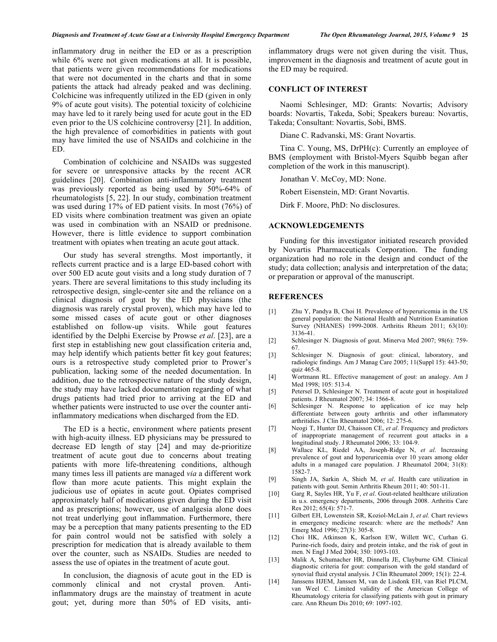inflammatory drug in neither the ED or as a prescription while 6% were not given medications at all. It is possible, that patients were given recommendations for medications that were not documented in the charts and that in some patients the attack had already peaked and was declining. Colchicine was infrequently utilized in the ED (given in only 9% of acute gout visits). The potential toxicity of colchicine may have led to it rarely being used for acute gout in the ED even prior to the US colchicine controversy [21]. In addition, the high prevalence of comorbidities in patients with gout may have limited the use of NSAIDs and colchicine in the ED.

Combination of colchicine and NSAIDs was suggested for severe or unresponsive attacks by the recent ACR guidelines [20]. Combination anti-inflammatory treatment was previously reported as being used by 50%-64% of rheumatologists [5, 22]. In our study, combination treatment was used during 17% of ED patient visits. In most (76%) of ED visits where combination treatment was given an opiate was used in combination with an NSAID or prednisone. However, there is little evidence to support combination treatment with opiates when treating an acute gout attack.

Our study has several strengths. Most importantly, it reflects current practice and is a large ED-based cohort with over 500 ED acute gout visits and a long study duration of 7 years. There are several limitations to this study including its retrospective design, single-center site and the reliance on a clinical diagnosis of gout by the ED physicians (the diagnosis was rarely crystal proven), which may have led to some missed cases of acute gout or other diagnoses established on follow-up visits. While gout features identified by the Delphi Exercise by Prowse *et al*. [23], are a first step in establishing new gout classification criteria and, may help identify which patients better fit key gout features; ours is a retrospective study completed prior to Prower's publication, lacking some of the needed documentation. In addition, due to the retrospective nature of the study design, the study may have lacked documentation regarding of what drugs patients had tried prior to arriving at the ED and whether patients were instructed to use over the counter antiinflammatory medications when discharged from the ED.

The ED is a hectic, environment where patients present with high-acuity illness. ED physicians may be pressured to decrease ED length of stay [24] and may de-prioritize treatment of acute gout due to concerns about treating patients with more life-threatening conditions, although many times less ill patients are managed *via* a different work flow than more acute patients. This might explain the judicious use of opiates in acute gout. Opiates comprised approximately half of medications given during the ED visit and as prescriptions; however, use of analgesia alone does not treat underlying gout inflammation. Furthermore, there may be a perception that many patients presenting to the ED for pain control would not be satisfied with solely a prescription for medication that is already available to them over the counter, such as NSAIDs. Studies are needed to assess the use of opiates in the treatment of acute gout.

In conclusion, the diagnosis of acute gout in the ED is commonly clinical and not crystal proven. Antiinflammatory drugs are the mainstay of treatment in acute gout; yet, during more than 50% of ED visits, antiinflammatory drugs were not given during the visit. Thus, improvement in the diagnosis and treatment of acute gout in the ED may be required.

#### **CONFLICT OF INTEREST**

Naomi Schlesinger, MD: Grants: Novartis; Advisory boards: Novartis, Takeda, Sobi; Speakers bureau: Novartis, Takeda; Consultant: Novartis, Sobi, BMS.

Diane C. Radvanski, MS: Grant Novartis.

Tina C. Young, MS, DrPH(c): Currently an employee of BMS (employment with Bristol-Myers Squibb began after completion of the work in this manuscript).

Jonathan V. McCoy, MD: None.

Robert Eisenstein, MD: Grant Novartis.

Dirk F. Moore, PhD: No disclosures.

#### **ACKNOWLEDGEMENTS**

Funding for this investigator initiated research provided by Novartis Pharmaceuticals Corporation. The funding organization had no role in the design and conduct of the study; data collection; analysis and interpretation of the data; or preparation or approval of the manuscript.

#### **REFERENCES**

- [1] Zhu Y, Pandya B, Choi H. Prevalence of hyperuricemia in the US general population: the National Health and Nutrition Examination Survey (NHANES) 1999-2008. Arthritis Rheum 2011; 63(10): 3136-41.
- [2] Schlesinger N. Diagnosis of gout. Minerva Med 2007; 98(6): 759- 67.
- [3] Schlesinger N. Diagnosis of gout: clinical, laboratory, and radiologic findings. Am J Manag Care 2005; 11(Suppl 15): 443-50; quiz 465-8.
- [4] Wortmann RL. Effective management of gout: an analogy. Am J Med 1998; 105: 513-4.
- [5] Petersel D, Schlesinger N. Treatment of acute gout in hospitalized patients. J Rheumatol 2007; 34: 1566-8.
- [6] Schlesinger N. Response to application of ice may help differentiate between gouty arthritis and other inflammatory arthritidies. J Clin Rheumatol 2006; 12: 275-6.
- [7] Neogi T, Hunter DJ, Chaisson CE, *et al*. Frequency and predictors of inappropriate management of recurrent gout attacks in a longitudinal study. J Rheumatol 2006; 33: 104-9.
- [8] Wallace KL, Riedel AA, Joseph-Ridge N, *et al*. Increasing prevalence of gout and hyperuricemia over 10 years among older adults in a managed care population. J Rheumatol 2004; 31(8): 1582-7.
- [9] Singh JA, Sarkin A, Shieh M, *et al*. Health care utilization in patients with gout. Semin Arthritis Rheum 2011; 40: 501-11.
- [10] Garg R, Sayles HR, Yu F, *et al*. Gout-related healthcare utilization in u.s. emergency departments, 2006 through 2008. Arthritis Care Res 2012; 65(4): 571-7.
- [11] Gilbert EH, Lowenstein SR, Koziol-McLain J, *et al*. Chart reviews in emergency medicine research: where are the methods? Ann Emerg Med 1996; 27(3): 305-8.
- [12] Choi HK, Atkinson K, Karlson EW, Willett WC, Curhan G. Purine-rich foods, dairy and protein intake, and the risk of gout in men. N Engl J Med 2004; 350: 1093-103.
- [13] Malik A, Schumacher HR, Dinnella JE, Clayburne GM. Clinical diagnostic criteria for gout: comparison with the gold standard of synovial fluid crystal analysis. J Clin Rheumatol 2009; 15(1): 22-4.
- [14] Janssens HJEM, Janssen M, van de Lisdonk EH, van Riel PLCM, van Weel C. Limited validity of the American College of Rheumatology criteria for classifying patients with gout in primary care. Ann Rheum Dis 2010; 69: 1097-102.